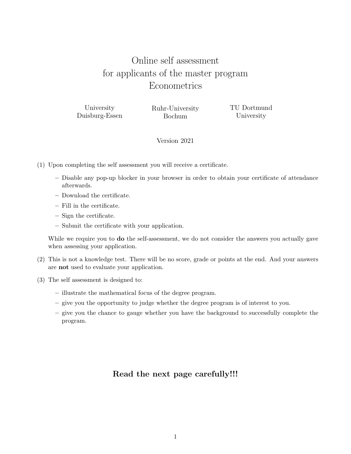# Online self assessment for applicants of the master program **Econometrics**

University Duisburg-Essen Ruhr-University Bochum

TU Dortmund University

# Version 2021

- (1) Upon completing the self assessment you will receive a certificate.
	- Disable any pop-up blocker in your browser in order to obtain your certificate of attendance afterwards.
	- Download the certificate.
	- Fill in the certificate.
	- Sign the certificate.
	- Submit the certificate with your application.

While we require you to **do** the self-assessment, we do not consider the answers you actually gave when assessing your application.

- (2) This is not a knowledge test. There will be no score, grade or points at the end. And your answers are not used to evaluate your application.
- (3) The self assessment is designed to:
	- illustrate the mathematical focus of the degree program.
	- give you the opportunity to judge whether the degree program is of interest to you.
	- give you the chance to gauge whether you have the background to successfully complete the program.

# Read the next page carefully!!!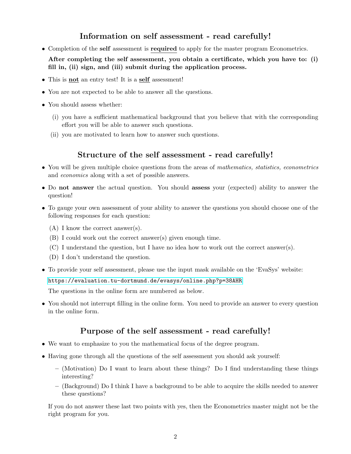# Information on self assessment - read carefully!

• Completion of the self assessment is required to apply for the master program Econometrics.

After completing the self assessment, you obtain a certificate, which you have to: (i) fill in, (ii) sign, and (iii) submit during the application process.

- This is **not** an entry test! It is a **self** assessment!
- You are not expected to be able to answer all the questions.
- You should assess whether:
	- (i) you have a sufficient mathematical background that you believe that with the corresponding effort you will be able to answer such questions.
	- (ii) you are motivated to learn how to answer such questions.

# Structure of the self assessment - read carefully!

- You will be given multiple choice questions from the areas of mathematics, statistics, econometrics and economics along with a set of possible answers.
- Do not answer the actual question. You should assess your (expected) ability to answer the question!
- To gauge your own assessment of your ability to answer the questions you should choose one of the following responses for each question:
	- (A) I know the correct answer(s).
	- (B) I could work out the correct answer(s) given enough time.
	- (C) I understand the question, but I have no idea how to work out the correct answer(s).
	- (D) I don't understand the question.
- To provide your self assessment, please use the input mask available on the 'EvaSys' website:

[https://evaluation.tu-dortmund.de/evasys/online.php?p=38AHR]( https://evaluation.tu-dortmund.de/evasys/online.php?p=38AHR)

The questions in the online form are numbered as below.

• You should not interrupt filling in the online form. You need to provide an answer to every question in the online form.

# Purpose of the self assessment - read carefully!

- We want to emphasize to you the mathematical focus of the degree program.
- Having gone through all the questions of the self assessment you should ask yourself:
	- (Motivation) Do I want to learn about these things? Do I find understanding these things interesting?
	- (Background) Do I think I have a background to be able to acquire the skills needed to answer these questions?

If you do not answer these last two points with yes, then the Econometrics master might not be the right program for you.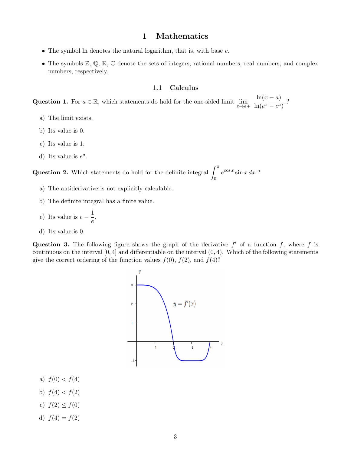# 1 Mathematics

- The symbol ln denotes the natural logarithm, that is, with base  $e$ .
- The symbols  $\mathbb{Z}, \mathbb{Q}, \mathbb{R}, \mathbb{C}$  denote the sets of integers, rational numbers, real numbers, and complex numbers, respectively.

## 1.1 Calculus

Question 1. For  $a \in \mathbb{R}$ , which statements do hold for the one-sided limit  $\lim_{x \to a^+} \frac{\ln(x-a)}{\ln(e^x - e^a)}$  $\frac{\ln(x-a)}{\ln(e^x-e^a)}$ ?

- a) The limit exists.
- b) Its value is 0.
- c) Its value is 1.
- d) Its value is  $e^a$ .

**Question 2.** Which statements do hold for the definite integral  $\int_0^{\pi}$ 0  $e^{\cos x}\sin x\,dx$ ?

- a) The antiderivative is not explicitly calculable.
- b) The definite integral has a finite value.
- c) Its value is  $e \frac{1}{\cdot}$  $\frac{1}{e}$ .
- d) Its value is 0.

Question 3. The following figure shows the graph of the derivative  $f'$  of a function f, where f is continuous on the interval [0, 4] and differentiable on the interval (0, 4). Which of the following statements give the correct ordering of the function values  $f(0)$ ,  $f(2)$ , and  $f(4)$ ?



- a)  $f(0) < f(4)$
- b)  $f(4) < f(2)$
- c)  $f(2) \le f(0)$
- d)  $f(4) = f(2)$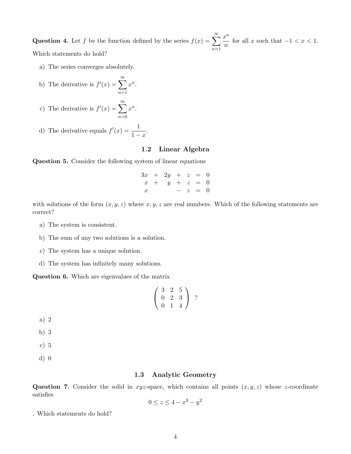**Question 4.** Let f be the function defined by the series  $f(x) = \sum_{n=0}^{\infty}$  $n=1$  $x^n$  $\frac{b}{n}$  for all x such that  $-1 < x < 1$ . Which statements do hold?

a) The series converges absolutely.

b) The derivative is 
$$
f'(x) = \sum_{n=1}^{\infty} x^n
$$

c) The derivative is  $f'(x) = \sum_{n=0}^{\infty}$  $n=0$  $x^n$ .

d) The derivative equals 
$$
f'(x) = \frac{1}{1-x}
$$
.

#### 1.2 Linear Algebra

Question 5. Consider the following system of linear equations

.

 $3x + 2y + z = 0$  $x + y + z = 0$  $- z = 0$ 

with solutions of the form  $(x, y, z)$  where  $x, y, z$  are real numbers. Which of the following statements are correct?

- a) The system is consistent.
- b) The sum of any two solutions is a solution.
- c) The system has a unique solution.
- d) The system has infinitely many solutions.

Question 6. Which are eigenvalues of the matrix

$$
\left(\begin{array}{rrr}3 & 2 & 5 \\ 0 & 2 & 3 \\ 0 & 1 & 4 \end{array}\right) ?
$$

a) 2

- b) 3
- c) 5
- d) 0

#### 1.3 Analytic Geometry

**Question 7.** Consider the solid in xyz-space, which contains all points  $(x, y, z)$  whose z-coordinate satisfies

$$
0 \le z \le 4 - x^2 - y^2
$$

. Which statements do hold?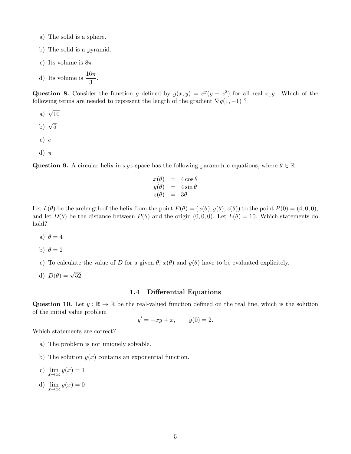- a) The solid is a sphere.
- b) The solid is a pyramid.
- c) Its volume is  $8\pi$ .
- d) Its volume is  $\frac{16\pi}{3}$ .

Question 8. Consider the function g defined by  $g(x, y) = e^y(y - x^2)$  for all real x, y. Which of the following terms are needed to represent the length of the gradient  $\nabla g(1, -1)$ ?

a)  $\sqrt{10}$ b)  $\sqrt{5}$ c) e d)  $\pi$ 

Question 9. A circular helix in xyz-space has the following parametric equations, where  $\theta \in \mathbb{R}$ .

$$
\begin{array}{rcl}\nx(\theta) &=& 4 \cos \theta \\
y(\theta) &=& 4 \sin \theta \\
z(\theta) &=& 3\theta\n\end{array}
$$

Let  $L(\theta)$  be the arclength of the helix from the point  $P(\theta) = (x(\theta), y(\theta), z(\theta))$  to the point  $P(0) = (4, 0, 0)$ , and let  $D(\theta)$  be the distance between  $P(\theta)$  and the origin  $(0, 0, 0)$ . Let  $L(\theta) = 10$ . Which statements do hold?

- a)  $\theta = 4$
- b)  $\theta = 2$
- c) To calculate the value of D for a given  $\theta$ ,  $x(\theta)$  and  $y(\theta)$  have to be evaluated explicitely.
- d)  $D(\theta) = \sqrt{52}$

#### 1.4 Differential Equations

Question 10. Let  $y : \mathbb{R} \to \mathbb{R}$  be the real-valued function defined on the real line, which is the solution of the initial value problem

$$
y' = -xy + x
$$
,  $y(0) = 2$ .

Which statements are correct?

- a) The problem is not uniquely solvable.
- b) The solution  $y(x)$  contains an exponential function.
- c)  $\lim_{x \to \infty} y(x) = 1$
- d)  $\lim_{x \to \infty} y(x) = 0$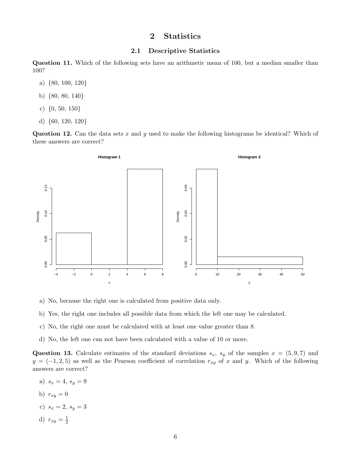# 2 Statistics

## 2.1 Descriptive Statistics

Question 11. Which of the following sets have an arithmetic mean of 100, but a median smaller than 100?

- a) {80, 100, 120}
- b) {80, 80, 140}
- c) {0, 50, 150}
- d) {60, 120, 120}

**Question 12.** Can the data sets x and y used to make the following histograms be identical? Which of these answers are correct?



- a) No, because the right one is calculated from positive data only.
- b) Yes, the right one includes all possible data from which the left one may be calculated.
- c) No, the right one must be calculated with at least one value greater than 8.
- d) No, the left one can not have been calculated with a value of 10 or more.

Question 13. Calculate estimates of the standard deviations  $s_x$ ,  $s_y$  of the samples  $x = (5, 9, 7)$  and  $y = (-1, 2, 5)$  as well as the Pearson coefficient of correlation  $r_{xy}$  of x and y. Which of the following answers are correct?

- a)  $s_x = 4, s_y = 9$
- b)  $r_{xy} = 0$
- c)  $s_x = 2, s_y = 3$
- d)  $r_{xy} = \frac{1}{2}$ 2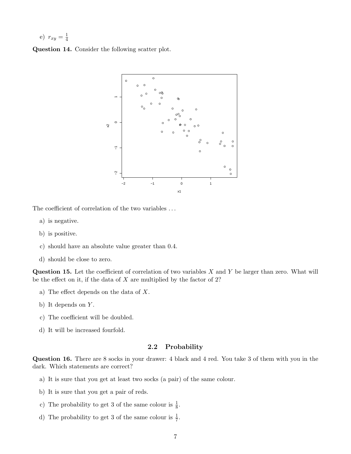e) 
$$
r_{xy} = \frac{1}{4}
$$

Question 14. Consider the following scatter plot.



The coefficient of correlation of the two variables . . .

- a) is negative.
- b) is positive.
- c) should have an absolute value greater than 0.4.
- d) should be close to zero.

**Question 15.** Let the coefficient of correlation of two variables  $X$  and  $Y$  be larger than zero. What will be the effect on it, if the data of  $X$  are multiplied by the factor of 2?

- a) The effect depends on the data of X.
- b) It depends on  $Y$ .
- c) The coefficient will be doubled.
- d) It will be increased fourfold.

## 2.2 Probability

Question 16. There are 8 socks in your drawer: 4 black and 4 red. You take 3 of them with you in the dark. Which statements are correct?

- a) It is sure that you get at least two socks (a pair) of the same colour.
- b) It is sure that you get a pair of reds.
- c) The probability to get 3 of the same colour is  $\frac{1}{8}$ .
- d) The probability to get 3 of the same colour is  $\frac{1}{7}$ .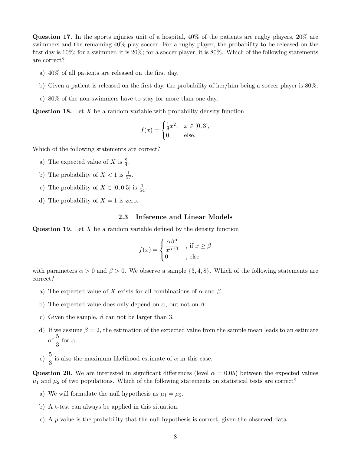Question 17. In the sports injuries unit of a hospital, 40% of the patients are rugby players, 20% are swimmers and the remaining 40% play soccer. For a rugby player, the probability to be released on the first day is 10%; for a swimmer, it is 20%; for a soccer player, it is 80%. Which of the following statements are correct?

- a) 40% of all patients are released on the first day.
- b) Given a patient is released on the first day, the probability of her/him being a soccer player is 80%.
- c) 80% of the non-swimmers have to stay for more than one day.

**Question 18.** Let  $X$  be a random variable with probability density function

$$
f(x) = \begin{cases} \frac{1}{9}x^2, & x \in [0,3], \\ 0, & \text{else.} \end{cases}
$$

Which of the following statements are correct?

- a) The expected value of X is  $\frac{9}{4}$ .
- b) The probability of  $X < 1$  is  $\frac{1}{27}$ .
- c) The probability of  $X \in [0, 0.5]$  is  $\frac{1}{54}$ .
- d) The probability of  $X = 1$  is zero.

#### 2.3 Inference and Linear Models

**Question 19.** Let  $X$  be a random variable defined by the density function

$$
f(x) = \begin{cases} \frac{\alpha \beta^{\alpha}}{x^{\alpha+1}} & , \text{if } x \ge \beta \\ 0 & , \text{else} \end{cases}
$$

with parameters  $\alpha > 0$  and  $\beta > 0$ . We observe a sample  $\{3, 4, 8\}$ . Which of the following statements are correct?

- a) The expected value of X exists for all combinations of  $\alpha$  and  $\beta$ .
- b) The expected value does only depend on  $\alpha$ , but not on  $\beta$ .
- c) Given the sample,  $\beta$  can not be larger than 3.
- d) If we assume  $\beta = 2$ , the estimation of the expected value from the sample mean leads to an estimate of  $\frac{5}{3}$  for  $\alpha$ .
- e)  $\frac{5}{3}$  is also the maximum likelihood estimate of  $\alpha$  in this case.

Question 20. We are interested in significant differences (level  $\alpha = 0.05$ ) between the expected values  $\mu_1$  and  $\mu_2$  of two populations. Which of the following statements on statistical tests are correct?

- a) We will formulate the null hypothesis as  $\mu_1 = \mu_2$ .
- b) A t-test can always be applied in this situation.
- c) A p-value is the probability that the null hypothesis is correct, given the observed data.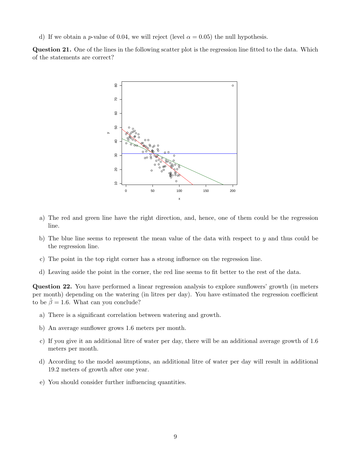d) If we obtain a *p*-value of 0.04, we will reject (level  $\alpha = 0.05$ ) the null hypothesis.

Question 21. One of the lines in the following scatter plot is the regression line fitted to the data. Which of the statements are correct?



- a) The red and green line have the right direction, and, hence, one of them could be the regression line.
- b) The blue line seems to represent the mean value of the data with respect to y and thus could be the regression line.
- c) The point in the top right corner has a strong influence on the regression line.
- d) Leaving aside the point in the corner, the red line seems to fit better to the rest of the data.

Question 22. You have performed a linear regression analysis to explore sunflowers' growth (in meters per month) depending on the watering (in litres per day). You have estimated the regression coefficient to be  $\hat{\beta} = 1.6$ . What can you conclude?

- a) There is a significant correlation between watering and growth.
- b) An average sunflower grows 1.6 meters per month.
- c) If you give it an additional litre of water per day, there will be an additional average growth of 1.6 meters per month.
- d) According to the model assumptions, an additional litre of water per day will result in additional 19.2 meters of growth after one year.
- e) You should consider further influencing quantities.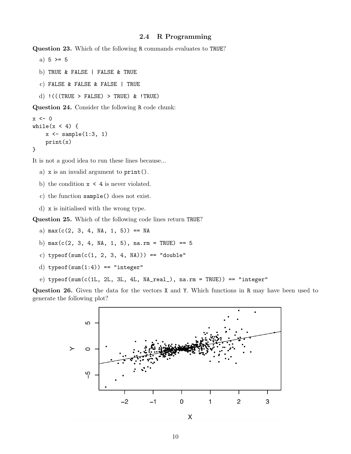#### 2.4 R Programming

Question 23. Which of the following R commands evaluates to TRUE?

a)  $5 > = 5$ b) TRUE & FALSE | FALSE & TRUE c) FALSE & FALSE & FALSE | TRUE d)  $!$  (((TRUE > FALSE) > TRUE) & !TRUE) Question 24. Consider the following R code chunk:

```
x \leftarrow 0while(x < 4) {
     x \leftarrow sample(1:3, 1)print(x)
}
```
It is not a good idea to run these lines because...

- a) x is an invalid argument to print().
- b) the condition  $x \leq 4$  is never violated.
- c) the function sample() does not exist.
- d) x is initialised with the wrong type.

Question 25. Which of the following code lines return TRUE?

- a)  $max(c(2, 3, 4, NA, 1, 5)) == NA$
- b)  $max(c(2, 3, 4, NA, 1, 5), na.rm = TRUE) == 5$
- c) typeof(sum(c(1, 2, 3, 4, NA))) == "double"
- d) typeof(sum $(1:4)$ ) == "integer"
- e) typeof(sum(c(1L, 2L, 3L, 4L,  $NA\_real$ ),  $na.rm = TRUE$ ) == "integer"

Question 26. Given the data for the vectors X and Y. Which functions in R may have been used to generate the following plot?

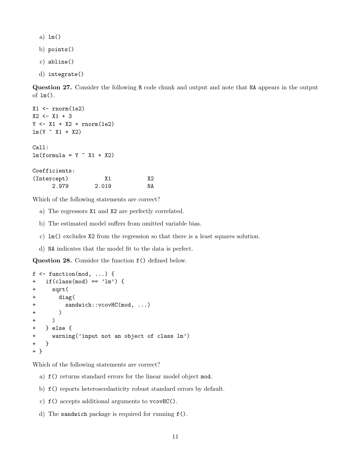a) lm()

- b) points()
- c) abline()
- d) integrate()

Question 27. Consider the following R code chunk and output and note that NA appears in the output of lm().

```
X1 \leftarrow \text{rnorm}(1e2)X2 \leftarrow X1 + 3Y \leftarrow X1 + X2 + \text{rnorm}(1e2)lm(Y \sim X1 + X2)Call:
lm(formula = Y \sim X1 + X2)Coefficients:
(Intercept) X1 X2
      2.979 2.019 NA
```
Which of the following statements are correct?

- a) The regressors X1 and X2 are perfectly correlated.
- b) The estimated model suffers from omitted variable bias.
- c) lm() excludes X2 from the regression so that there is a least squares solution.
- d) NA indicates that the model fit to the data is perfect.

Question 28. Consider the function f() defined below.

```
f \leftarrow function(mod, ...) {
+ if(class(mod) == 'lm') {
+ sqrt(
+ diag(
+ sandwich::vcovHC(mod, ...)
+ )
+ )
+ } else {
+ warning('input not an object of class lm')
+ }
+ }
```
- a) f() returns standard errors for the linear model object mod.
- b) f() reports heteroscedasticity robust standard errors by default.
- c) f() accepts additional arguments to vcovHC().
- d) The sandwich package is required for running f().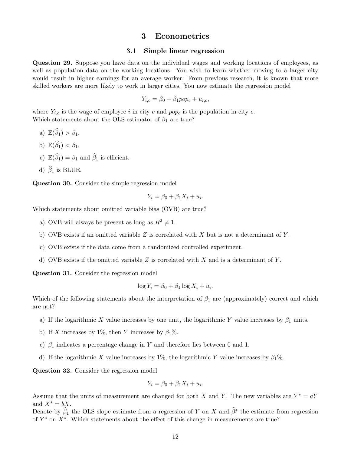## 3 Econometrics

#### 3.1 Simple linear regression

Question 29. Suppose you have data on the individual wages and working locations of employees, as well as population data on the working locations. You wish to learn whether moving to a larger city would result in higher earnings for an average worker. From previous research, it is known that more skilled workers are more likely to work in larger cities. You now estimate the regression model

$$
Y_{i,c} = \beta_0 + \beta_1 pop_c + u_{i,c},
$$

where  $Y_{i,c}$  is the wage of employee i in city c and pop<sub>c</sub> is the population in city c. Which statements about the OLS estimator of  $\beta_1$  are true?

- a)  $\mathbb{E}(\widehat{\beta}_1) > \beta_1$ . b)  $\mathbb{E}(\widehat{\beta}_1) < \beta_1$ .
- 
- c)  $\mathbb{E}(\widehat{\beta}_1) = \beta_1$  and  $\widehat{\beta}_1$  is efficient.
- d)  $\hat{\beta}_1$  is BLUE.

Question 30. Consider the simple regression model

$$
Y_i = \beta_0 + \beta_1 X_i + u_i.
$$

Which statements about omitted variable bias (OVB) are true?

- a) OVB will always be present as long as  $R^2 \neq 1$ .
- b) OVB exists if an omitted variable  $Z$  is correlated with  $X$  but is not a determinant of  $Y$ .
- c) OVB exists if the data come from a randomized controlled experiment.
- d) OVB exists if the omitted variable  $Z$  is correlated with  $X$  and is a determinant of  $Y$ .

Question 31. Consider the regression model

$$
\log Y_i = \beta_0 + \beta_1 \log X_i + u_i.
$$

Which of the following statements about the interpretation of  $\beta_1$  are (approximately) correct and which are not?

- a) If the logarithmic X value increases by one unit, the logarithmic Y value increases by  $\beta_1$  units.
- b) If X increases by 1%, then Y increases by  $\beta_1$ %.
- c)  $\beta_1$  indicates a percentage change in Y and therefore lies between 0 and 1.
- d) If the logarithmic X value increases by 1%, the logarithmic Y value increases by  $\beta_1$ %.

Question 32. Consider the regression model

$$
Y_i = \beta_0 + \beta_1 X_i + u_i.
$$

Assume that the units of measurement are changed for both X and Y. The new variables are  $Y^* = aY$ and  $X^* = bX$ .

Denote by  $\hat{\beta}_1$  the OLS slope estimate from a regression of Y on X and  $\hat{\beta}_1^*$  the estimate from regression of  $Y^*$  on  $X^*$ . Which statements about the effect of this change in measurements are true?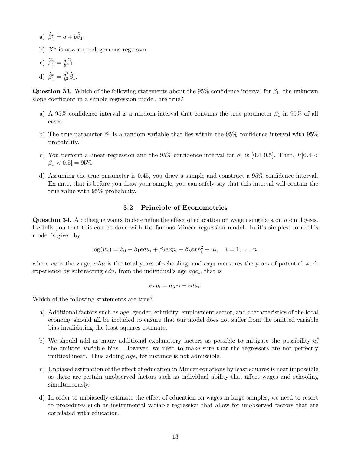- a)  $\widehat{\beta}_1^* = a + b \widehat{\beta}_1.$
- b)  $X^*$  is now an endogeneous regressor
- c)  $\widehat{\beta}_1^* = \frac{a}{b}$  $\frac{a}{b}\beta_1.$
- d)  $\hat{\beta}_1^* = \frac{a^2}{b^2}$  $rac{a^2}{b^2}\beta_1.$

**Question 33.** Which of the following statements about the 95% confidence interval for  $\beta_1$ , the unknown slope coefficient in a simple regression model, are true?

- a) A 95% confidence interval is a random interval that contains the true parameter  $\beta_1$  in 95% of all cases.
- b) The true parameter  $\beta_1$  is a random variable that lies within the 95% confidence interval with 95% probability.
- c) You perform a linear regression and the 95% confidence interval for  $\beta_1$  is [0.4, 0.5]. Then, P[0.4 <  $\beta_1 < 0.5$ ] = 95%.
- d) Assuming the true parameter is 0.45, you draw a sample and construct a 95% confidence interval. Ex ante, that is before you draw your sample, you can safely say that this interval will contain the true value with 95% probability.

## 3.2 Principle of Econometrics

**Question 34.** A colleague wants to determine the effect of education on wage using data on  $n$  employees. He tells you that this can be done with the famous Mincer regression model. In it's simplest form this model is given by

$$
\log(w_i) = \beta_0 + \beta_1 e du_i + \beta_2 e x p_i + \beta_3 e x p_i^2 + u_i, \quad i = 1, \dots, n,
$$

where  $w_i$  is the wage,  $edu_i$  is the total years of schooling, and  $exp_i$  measures the years of potential work experience by subtracting  $edu_i$  from the individual's age  $age_i$ , that is

$$
exp_i = age_i - edu_i.
$$

- a) Additional factors such as age, gender, ethnicity, employment sector, and characteristics of the local economy should all be included to ensure that our model does not suffer from the omitted variable bias invalidating the least squares estimate.
- b) We should add as many additional explanatory factors as possible to mitigate the possibility of the omitted variable bias. However, we need to make sure that the regressors are not perfectly multicollinear. Thus adding  $age<sub>i</sub>$  for instance is not admissible.
- c) Unbiased estimation of the effect of education in Mincer equations by least squares is near impossible as there are certain unobserved factors such as individual ability that affect wages and schooling simultaneously.
- d) In order to unbiasedly estimate the effect of education on wages in large samples, we need to resort to procedures such as instrumental variable regression that allow for unobserved factors that are correlated with education.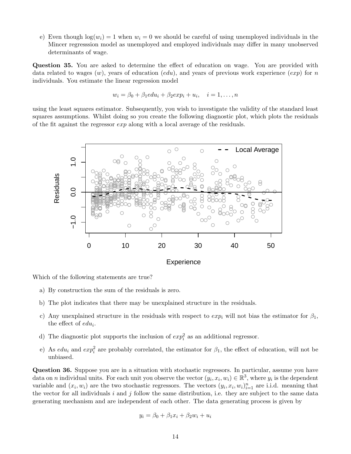e) Even though  $log(w_i) = 1$  when  $w_i = 0$  we should be careful of using unemployed individuals in the Mincer regresssion model as unemployed and employed individuals may differ in many unobserved determinants of wage.

Question 35. You are asked to determine the effect of education on wage. You are provided with data related to wages  $(w)$ , years of education  $(edu)$ , and years of previous work experience  $(exp)$  for n individuals. You estimate the linear regression model

$$
w_i = \beta_0 + \beta_1 e du_i + \beta_2 e x p_i + u_i, \quad i = 1, \dots, n
$$

using the least squares estimator. Subsequently, you wish to investigate the validity of the standard least squares assumptions. Whilst doing so you create the following diagnostic plot, which plots the residuals of the fit against the regressor exp along with a local average of the residuals.



Which of the following statements are true?

- a) By construction the sum of the residuals is zero.
- b) The plot indicates that there may be unexplained structure in the residuals.
- c) Any unexplained structure in the residuals with respect to  $exp_i$  will not bias the estimator for  $\beta_1$ , the effect of  $edu_i$ .
- d) The diagnostic plot supports the inclusion of  $exp_i^2$  as an additional regressor.
- e) As  $edu_i$  and  $exp_i^2$  are probably correlated, the estimator for  $\beta_1$ , the effect of education, will not be unbiased.

Question 36. Suppose you are in a situation with stochastic regressors. In particular, assume you have data on *n* individual units. For each unit you observe the vector  $(y_i, x_i, w_i) \in \mathbb{R}^3$ , where  $y_i$  is the dependent variable and  $(x_i, w_i)$  are the two stochastic regressors. The vectors  $(y_i, x_i, w_i)_{i=1}^n$  are i.i.d. meaning that the vector for all individuals  $i$  and  $j$  follow the same distribution, i.e. they are subject to the same data generating mechanism and are independent of each other. The data generating process is given by

$$
y_i = \beta_0 + \beta_1 x_i + \beta_2 w_i + u_i
$$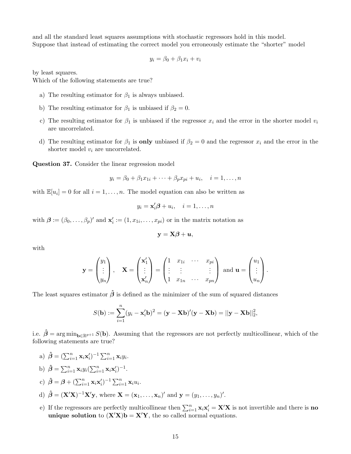and all the standard least squares assumptions with stochastic regressors hold in this model. Suppose that instead of estimating the correct model you erroneously estimate the "shorter" model

$$
y_i = \beta_0 + \beta_1 x_i + v_i
$$

by least squares.

Which of the following statements are true?

- a) The resulting estimator for  $\beta_1$  is always unbiased.
- b) The resulting estimator for  $\beta_1$  is unbiased if  $\beta_2 = 0$ .
- c) The resulting estimator for  $\beta_1$  is unbiased if the regressor  $x_i$  and the error in the shorter model  $v_i$ are uncorrelated.
- d) The resulting estimator for  $\beta_1$  is **only** unbiased if  $\beta_2 = 0$  and the regressor  $x_i$  and the error in the shorter model  $v_i$  are uncorrelated.

Question 37. Consider the linear regression model

$$
y_i = \beta_0 + \beta_1 x_{1i} + \cdots + \beta_p x_{pi} + u_i, \quad i = 1, \ldots, n
$$

with  $\mathbb{E}[u_i] = 0$  for all  $i = 1, ..., n$ . The model equation can also be written as

$$
y_i = \mathbf{x}'_i \boldsymbol{\beta} + u_i, \quad i = 1, \dots, n
$$

with  $\boldsymbol{\beta} := (\beta_0, \ldots, \beta_p)'$  and  $\mathbf{x}'_i := (1, x_{1i}, \ldots, x_{pi})$  or in the matrix notation as

$$
\mathbf{y} = \mathbf{X}\boldsymbol{\beta} + \boldsymbol{u},
$$

with

$$
\mathbf{y} = \begin{pmatrix} y_1 \\ \vdots \\ y_n \end{pmatrix}, \quad \mathbf{X} = \begin{pmatrix} \mathbf{x}'_1 \\ \vdots \\ \mathbf{x}'_n \end{pmatrix} = \begin{pmatrix} 1 & x_{1i} & \cdots & x_{pi} \\ \vdots & \vdots & & \vdots \\ 1 & x_{1n} & \cdots & x_{pn} \end{pmatrix} \text{ and } \mathbf{u} = \begin{pmatrix} u_1 \\ \vdots \\ u_n \end{pmatrix}.
$$

The least squares estimator  $\hat{\beta}$  is defined as the minimizer of the sum of squared distances

$$
S(\mathbf{b}) := \sum_{i=1}^{n} (y_i - \mathbf{x}'_i \mathbf{b})^2 = (\mathbf{y} - \mathbf{X}\mathbf{b})'(\mathbf{y} - \mathbf{X}\mathbf{b}) = ||\mathbf{y} - \mathbf{X}\mathbf{b}||_2^2,
$$

i.e.  $\hat{\beta} = \arg \min_{\mathbf{b} \in \mathbb{R}^{p+1}} S(\mathbf{b})$ . Assuming that the regressors are not perfectly multicollinear, which of the following statements are true?

- a)  $\hat{\boldsymbol{\beta}} = (\sum_{i=1}^n \mathbf{x}_i \mathbf{x}'_i)^{-1} \sum_{i=1}^n \mathbf{x}_i y_i$ . b)  $\hat{\beta} = \sum_{i=1}^n \mathbf{x}_i y_i (\sum_{i=1}^n \mathbf{x}_i \mathbf{x}'_i)^{-1}$ . c)  $\hat{\boldsymbol{\beta}} = \boldsymbol{\beta} + (\sum_{i=1}^n \mathbf{x}_i \mathbf{x}'_i)^{-1} \sum_{i=1}^n \mathbf{x}_i u_i.$ d)  $\hat{\boldsymbol{\beta}} = (\mathbf{X}'\mathbf{X})^{-1}\mathbf{X}'\mathbf{y}$ , where  $\mathbf{X} = (\mathbf{x}_1, \dots, \mathbf{x}_n)'$  and  $\mathbf{y} = (y_1, \dots, y_n)'$ .
- e) If the regressors are perfectly multicollinear then  $\sum_{i=1}^{n} \mathbf{x}_i \mathbf{x}'_i = \mathbf{X}' \mathbf{X}$  is not invertible and there is **no** unique solution to  $(X'X)b = X'Y$ , the so called normal equations.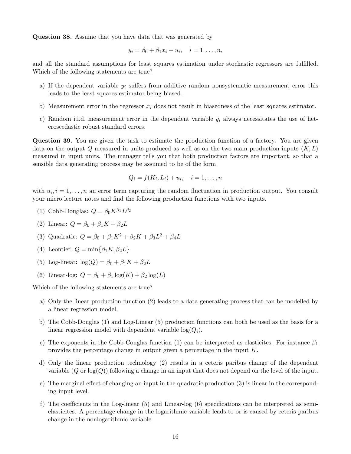Question 38. Assume that you have data that was generated by

$$
y_i = \beta_0 + \beta_1 x_i + u_i, \quad i = 1, \dots, n,
$$

and all the standard assumptions for least squares estimation under stochastic regressors are fulfilled. Which of the following statements are true?

- a) If the dependent variable  $y_i$  suffers from additive random nonsystematic measurement error this leads to the least squares estimator being biased.
- b) Measurement error in the regressor  $x_i$  does not result in biasedness of the least squares estimator.
- c) Random i.i.d. measurement error in the dependent variable  $y_i$  always necessitates the use of heteroscedastic robust standard errors.

Question 39. You are given the task to estimate the production function of a factory. You are given data on the output Q measured in units produced as well as on the two main production inputs  $(K, L)$ measured in input units. The manager tells you that both production factors are important, so that a sensible data generating process may be assumed to be of the form

$$
Q_i = f(K_i, L_i) + u_i, \quad i = 1, \dots, n
$$

with  $u_i, i = 1, \ldots, n$  an error term capturing the random fluctuation in production output. You consult your micro lecture notes and find the following production functions with two inputs.

- (1) Cobb-Douglas:  $Q = \beta_0 K^{\beta_1} L^{\beta_2}$
- (2) Linear:  $Q = \beta_0 + \beta_1 K + \beta_2 L$
- (3) Quadratic:  $Q = \beta_0 + \beta_1 K^2 + \beta_2 K + \beta_3 L^2 + \beta_4 L$
- (4) Leontief:  $Q = \min\{\beta_1 K, \beta_2 L\}$
- (5) Log-linear:  $\log(Q) = \beta_0 + \beta_1 K + \beta_2 L$
- (6) Linear-log:  $Q = \beta_0 + \beta_1 \log(K) + \beta_2 \log(L)$

- a) Only the linear production function (2) leads to a data generating process that can be modelled by a linear regression model.
- b) The Cobb-Douglas (1) and Log-Linear (5) production functions can both be used as the basis for a linear regression model with dependent variable  $log(Q_i)$ .
- c) The exponents in the Cobb-Couglas function (1) can be interpreted as elasticites. For instance  $\beta_1$ provides the percentage change in output given a percentage in the input K.
- d) Only the linear production technology (2) results in a ceteris paribus change of the dependent variable  $(Q \text{ or } \log(Q))$  following a change in an input that does not depend on the level of the input.
- e) The marginal effect of changing an input in the quadratic production (3) is linear in the corresponding input level.
- f) The coefficients in the Log-linear (5) and Linear-log (6) specifications can be interpreted as semielasticites: A percentage change in the logarithmic variable leads to or is caused by ceteris paribus change in the nonlogarithmic variable.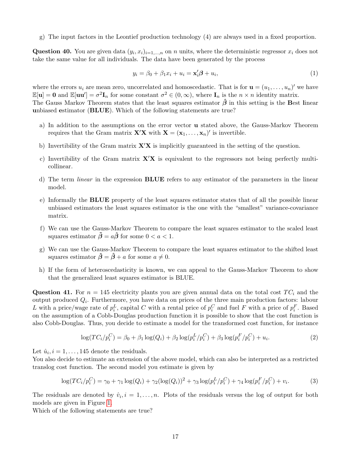g) The input factors in the Leontief production technology (4) are always used in a fixed proportion.

Question 40. You are given data  $(y_i, x_i)_{i=1,\dots,n}$  on n units, where the deterministic regressor  $x_i$  does not take the same value for all individuals. The data have been generated by the process

$$
y_i = \beta_0 + \beta_1 x_i + u_i = \mathbf{x}_i' \boldsymbol{\beta} + u_i,\tag{1}
$$

where the errors  $u_i$  are mean zero, uncorrelated and homoscedastic. That is for  $\mathbf{u} = (u_1, \ldots, u_n)'$  we have  $\mathbb{E}[\mathbf{u}] = \mathbf{0}$  and  $\mathbb{E}[\mathbf{u}\mathbf{u}'] = \sigma^2 \mathbf{I}_n$  for some constant  $\sigma^2 \in (0, \infty)$ , where  $\mathbf{I}_n$  is the  $n \times n$  identity matrix. The Gauss Markov Theorem states that the least squares estimator  $\hat{\beta}$  in this setting is the Best linear unbiased estimator (BLUE). Which of the following statements are true?

- a) In addition to the assumptions on the error vector u stated above, the Gauss-Markov Theorem requires that the Gram matrix  $\mathbf{X}'\mathbf{X}$  with  $\mathbf{X} = (\mathbf{x}_1, \ldots, \mathbf{x}_n)'$  is invertible.
- b) Invertibility of the Gram matrix  $\mathbf{X}'\mathbf{X}$  is implicitly guaranteed in the setting of the question.
- c) Invertibility of the Gram matrix  $X'X$  is equivalent to the regressors not being perfectly multicollinear.
- d) The term linear in the expression BLUE refers to any estimator of the parameters in the linear model.
- e) Informally the BLUE property of the least squares estimator states that of all the possible linear unbiased estimators the least squares estimator is the one with the "smallest" variance-covariance matrix.
- f) We can use the Gauss-Markov Theorem to compare the least squares estimator to the scaled least squares estimator  $\tilde{\boldsymbol{\beta}} = a\hat{\boldsymbol{\beta}}$  for some  $0 < a < 1$ .
- g) We can use the Gauss-Markov Theorem to compare the least squares estimator to the shifted least squares estimator  $\tilde{\boldsymbol{\beta}} = \hat{\boldsymbol{\beta}} + a$  for some  $a \neq 0$ .
- h) If the form of heteroscedasticity is known, we can appeal to the Gauss-Markov Theorem to show that the generalized least squares estimator is BLUE.

Question 41. For  $n = 145$  electricity plants you are given annual data on the total cost  $TC_i$  and the output produced  $Q_i$ . Furthermore, you have data on prices of the three main production factors: labour L with a price/wage rate of  $p_i^L$ , capital C with a rental price of  $p_i^C$  and fuel F with a price of  $p_i^F$ . Based on the assumption of a Cobb-Douglas production function it is possible to show that the cost function is also Cobb-Douglas. Thus, you decide to estimate a model for the transformed cost function, for instance

<span id="page-16-1"></span><span id="page-16-0"></span>
$$
\log(TC_i/p_i^C) = \beta_0 + \beta_1 \log(Q_i) + \beta_2 \log(p_i^L/p_i^C) + \beta_3 \log(p_i^F/p_i^C) + u_i.
$$
 (2)

Let  $\hat{u}_i, i = 1, \ldots, 145$  denote the residuals.

You also decide to estimate an extension of the above model, which can also be interpreted as a restricted translog cost function. The second model you estimate is given by

$$
\log(TC_i/p_i^C) = \gamma_0 + \gamma_1 \log(Q_i) + \gamma_2 (\log(Q_i))^2 + \gamma_3 \log(p_i^L/p_i^C) + \gamma_4 \log(p_i^F/p_i^C) + v_i.
$$
 (3)

The residuals are denoted by  $\hat{v}_i, i = 1, \ldots, n$ . Plots of the residuals versus the log of output for both models are given in Figure [1.](#page-17-0)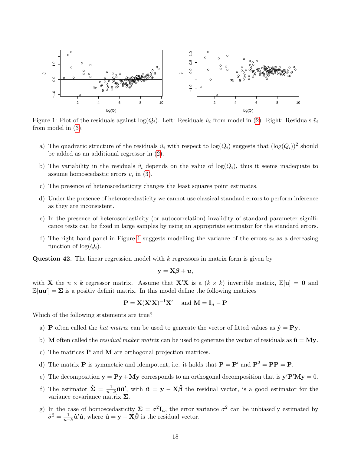

<span id="page-17-0"></span>Figure 1: Plot of the residuals against  $log(Q_i)$ . Left: Residuals  $\hat{u}_i$  from model in [\(2\)](#page-16-0). Right: Residuals  $\hat{v}_i$ from model in [\(3\)](#page-16-1).

- a) The quadratic structure of the residuals  $\hat{u}_i$  with respect to  $\log(Q_i)$  suggests that  $(\log(Q_i))^2$  should be added as an additional regressor in [\(2\)](#page-16-0).
- b) The variability in the residuals  $\hat{v}_i$  depends on the value of  $log(Q_i)$ , thus it seems inadequate to assume homoscedastic errors  $v_i$  in [\(3\)](#page-16-1).
- c) The presence of heteroscedasticity changes the least squares point estimates.
- d) Under the presence of heteroscedasticity we cannot use classical standard errors to perform inference as they are inconsistent.
- e) In the presence of heteroscedasticity (or autocorrelation) invalidity of standard parameter significance tests can be fixed in large samples by using an appropriate estimator for the standard errors.
- f) The right hand panel in Figure [1](#page-17-0) suggests modelling the variance of the errors  $v_i$  as a decreasing function of  $log(Q_i)$ .

**Question 42.** The linear regression model with  $k$  regressors in matrix form is given by

$$
\mathbf{y} = \mathbf{X}\boldsymbol{\beta} + \boldsymbol{u},
$$

with **X** the  $n \times k$  regressor matrix. Assume that **X'X** is a  $(k \times k)$  invertible matrix,  $\mathbb{E}[\mathbf{u}] = \mathbf{0}$  and  $\mathbb{E}[\mathbf{u}\mathbf{u}'] = \Sigma$  is a positiv definit matrix. In this model define the following matrices

$$
\mathbf{P} = \mathbf{X} (\mathbf{X}' \mathbf{X})^{-1} \mathbf{X}' \quad \text{ and } \mathbf{M} = \mathbf{I}_n - \mathbf{P}
$$

- a) **P** often called the *hat matrix* can be used to generate the vector of fitted values as  $\hat{y} = Py$ .
- b) M often called the *residual maker matrix* can be used to generate the vector of residuals as  $\hat{u} = My$ .
- c) The matrices P and M are orthogonal projection matrices.
- d) The matrix **P** is symmetric and idempotent, i.e. it holds that  $P = P'$  and  $P^2 = PP = P$ .
- e) The decomposition  $y = Py + My$  corresponds to an orthogonal decomposition that is  $y'P'My = 0$ .
- f) The estimator  $\hat{\Sigma} = \frac{1}{n-k}\hat{\mathbf{u}}\hat{\mathbf{u}}'$ , with  $\hat{\mathbf{u}} = \mathbf{y} \mathbf{X}\hat{\boldsymbol{\beta}}$  the residual vector, is a good estimator for the variance covariance matrix Σ.
- g) In the case of homoscedasticity  $\Sigma = \sigma^2 \mathbf{I}_n$ , the error variance  $\sigma^2$  can be unbiasedly estimated by  $\hat{\sigma}^2 = \frac{1}{n-k}\hat{\mathbf{u}}'\hat{\mathbf{u}}, \text{ where } \hat{\mathbf{u}} = \mathbf{y} - \mathbf{X}\hat{\boldsymbol{\beta}} \text{ is the residual vector.}$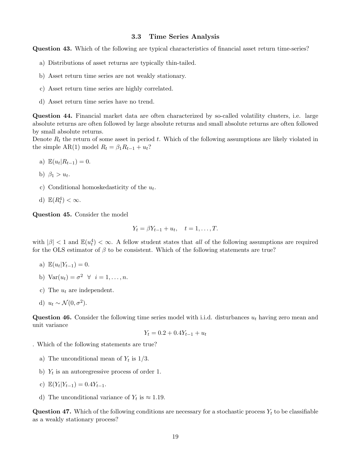#### 3.3 Time Series Analysis

Question 43. Which of the following are typical characteristics of financial asset return time-series?

- a) Distributions of asset returns are typically thin-tailed.
- b) Asset return time series are not weakly stationary.
- c) Asset return time series are highly correlated.
- d) Asset return time series have no trend.

Question 44. Financial market data are often characterized by so-called volatility clusters, i.e. large absolute returns are often followed by large absolute returns and small absolute returns are often followed by small absolute returns.

Denote  $R_t$  the return of some asset in period t. Which of the following assumptions are likely violated in the simple AR(1) model  $R_t = \beta_1 R_{t-1} + u_t$ ?

- a)  $\mathbb{E}(u_t|R_{t-1}) = 0.$
- b)  $\beta_1 > u_t$ .
- c) Conditional homoskedasticity of the  $u_t$ .
- d)  $\mathbb{E}(R_t^4) < \infty$ .

Question 45. Consider the model

$$
Y_t = \beta Y_{t-1} + u_t, \quad t = 1, \dots, T.
$$

with  $|\beta|$  < 1 and  $\mathbb{E}(u_t^4)$  <  $\infty$ . A fellow student states that all of the following assumptions are required for the OLS estimator of  $\beta$  to be consistent. Which of the following statements are true?

- a)  $\mathbb{E}(u_t|Y_{t-1}) = 0.$
- b) Var $(u_t) = \sigma^2 \quad \forall \quad i = 1, \ldots, n.$
- c) The  $u_t$  are independent.
- d)  $u_t \sim \mathcal{N}(0, \sigma^2)$ .

Question 46. Consider the following time series model with i.i.d. disturbances  $u_t$  having zero mean and unit variance

$$
Y_t = 0.2 + 0.4Y_{t-1} + u_t
$$

. Which of the following statements are true?

- a) The unconditional mean of  $Y_t$  is  $1/3$ .
- b)  $Y_t$  is an autoregressive process of order 1.
- c)  $\mathbb{E}(Y_t|Y_{t-1}) = 0.4Y_{t-1}.$
- d) The unconditional variance of  $Y_t$  is  $\approx 1.19$ .

**Question 47.** Which of the following conditions are necessary for a stochastic process  $Y_t$  to be classifiable as a weakly stationary process?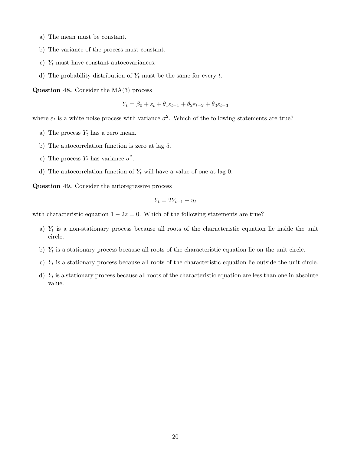- a) The mean must be constant.
- b) The variance of the process must constant.
- c)  $Y_t$  must have constant autocovariances.
- d) The probability distribution of  $Y_t$  must be the same for every t.

**Question 48.** Consider the  $MA(3)$  process

$$
Y_t = \beta_0 + \varepsilon_t + \theta_1 \varepsilon_{t-1} + \theta_2 \varepsilon_{t-2} + \theta_3 \varepsilon_{t-3}
$$

where  $\varepsilon_t$  is a white noise process with variance  $\sigma^2$ . Which of the following statements are true?

- a) The process  $Y_t$  has a zero mean.
- b) The autocorrelation function is zero at lag 5.
- c) The process  $Y_t$  has variance  $\sigma^2$ .
- d) The autocorrelation function of  $Y_t$  will have a value of one at lag 0.

Question 49. Consider the autoregressive process

$$
Y_t = 2Y_{t-1} + u_t
$$

with characteristic equation  $1 - 2z = 0$ . Which of the following statements are true?

- a)  $Y_t$  is a non-stationary process because all roots of the characteristic equation lie inside the unit circle.
- b)  $Y_t$  is a stationary process because all roots of the characteristic equation lie on the unit circle.
- c)  $Y_t$  is a stationary process because all roots of the characteristic equation lie outside the unit circle.
- d)  $Y_t$  is a stationary process because all roots of the characteristic equation are less than one in absolute value.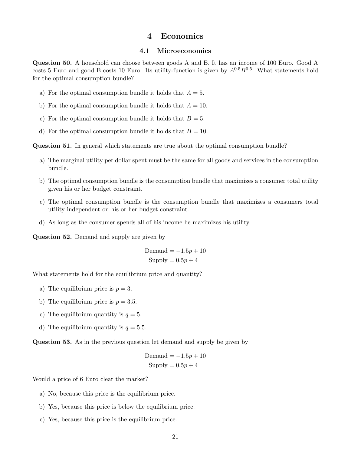# 4 Economics

#### 4.1 Microeconomics

Question 50. A household can choose between goods A and B. It has an income of 100 Euro. Good A costs 5 Euro and good B costs 10 Euro. Its utility-function is given by  $A^{0.5}B^{0.5}$ . What statements hold for the optimal consumption bundle?

- a) For the optimal consumption bundle it holds that  $A = 5$ .
- b) For the optimal consumption bundle it holds that  $A = 10$ .
- c) For the optimal consumption bundle it holds that  $B = 5$ .
- d) For the optimal consumption bundle it holds that  $B = 10$ .

Question 51. In general which statements are true about the optimal consumption bundle?

- a) The marginal utility per dollar spent must be the same for all goods and services in the consumption bundle.
- b) The optimal consumption bundle is the consumption bundle that maximizes a consumer total utility given his or her budget constraint.
- c) The optimal consumption bundle is the consumption bundle that maximizes a consumers total utility independent on his or her budget constraint.
- d) As long as the consumer spends all of his income he maximizes his utility.

Question 52. Demand and supply are given by

$$
Demand = -1.5p + 10
$$
  
Supply = 0.5p + 4

What statements hold for the equilibrium price and quantity?

- a) The equilibrium price is  $p = 3$ .
- b) The equilibrium price is  $p = 3.5$ .
- c) The equilibrium quantity is  $q = 5$ .
- d) The equilibrium quantity is  $q = 5.5$ .

Question 53. As in the previous question let demand and supply be given by

$$
Demand = -1.5p + 10
$$
  
Supply = 0.5p + 4

Would a price of 6 Euro clear the market?

- a) No, because this price is the equilibrium price.
- b) Yes, because this price is below the equilibrium price.
- c) Yes, because this price is the equilibrium price.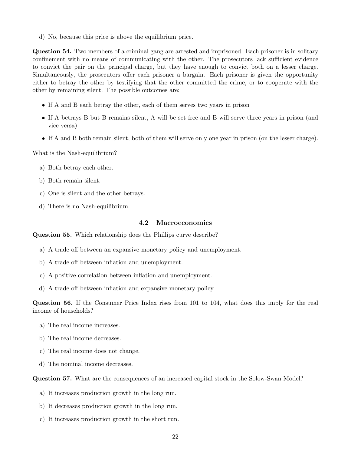d) No, because this price is above the equilibrium price.

Question 54. Two members of a criminal gang are arrested and imprisoned. Each prisoner is in solitary confinement with no means of communicating with the other. The prosecutors lack sufficient evidence to convict the pair on the principal charge, but they have enough to convict both on a lesser charge. Simultaneously, the prosecutors offer each prisoner a bargain. Each prisoner is given the opportunity either to betray the other by testifying that the other committed the crime, or to cooperate with the other by remaining silent. The possible outcomes are:

- If A and B each betray the other, each of them serves two years in prison
- If A betrays B but B remains silent, A will be set free and B will serve three years in prison (and vice versa)
- If A and B both remain silent, both of them will serve only one year in prison (on the lesser charge).

What is the Nash-equilibrium?

- a) Both betray each other.
- b) Both remain silent.
- c) One is silent and the other betrays.
- d) There is no Nash-equilibrium.

#### 4.2 Macroeconomics

Question 55. Which relationship does the Phillips curve describe?

- a) A trade off between an expansive monetary policy and unemployment.
- b) A trade off between inflation and unemployment.
- c) A positive correlation between inflation and unemployment.
- d) A trade off between inflation and expansive monetary policy.

Question 56. If the Consumer Price Index rises from 101 to 104, what does this imply for the real income of households?

- a) The real income increases.
- b) The real income decreases.
- c) The real income does not change.
- d) The nominal income decreases.

Question 57. What are the consequences of an increased capital stock in the Solow-Swan Model?

- a) It increases production growth in the long run.
- b) It decreases production growth in the long run.
- c) It increases production growth in the short run.